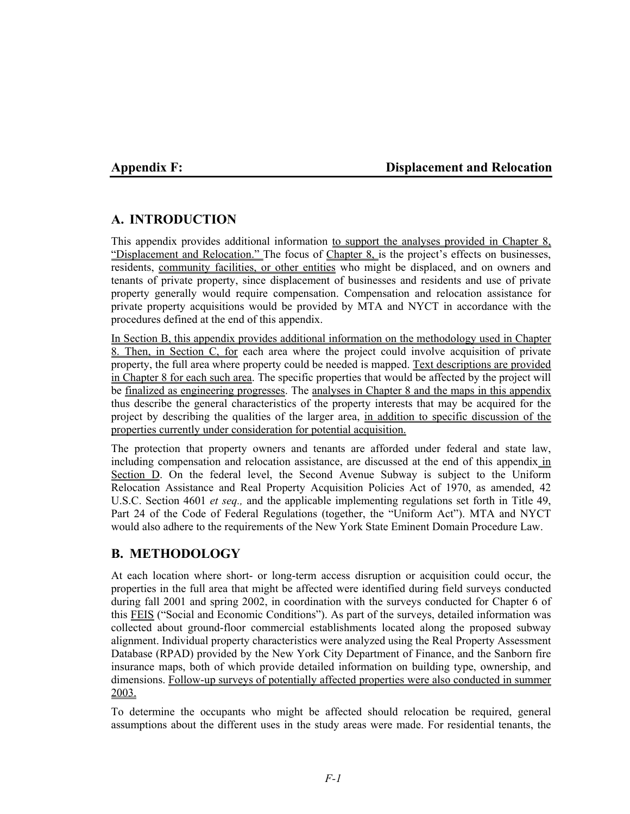## **Appendix F: Displacement and Relocation**

# **A. INTRODUCTION**

This appendix provides additional information to support the analyses provided in Chapter 8, "Displacement and Relocation." The focus of Chapter 8, is the project's effects on businesses, residents, community facilities, or other entities who might be displaced, and on owners and tenants of private property, since displacement of businesses and residents and use of private property generally would require compensation. Compensation and relocation assistance for private property acquisitions would be provided by MTA and NYCT in accordance with the procedures defined at the end of this appendix.

In Section B, this appendix provides additional information on the methodology used in Chapter 8. Then, in Section C, for each area where the project could involve acquisition of private property, the full area where property could be needed is mapped. Text descriptions are provided in Chapter 8 for each such area. The specific properties that would be affected by the project will be finalized as engineering progresses. The analyses in Chapter 8 and the maps in this appendix thus describe the general characteristics of the property interests that may be acquired for the project by describing the qualities of the larger area, in addition to specific discussion of the properties currently under consideration for potential acquisition.

The protection that property owners and tenants are afforded under federal and state law, including compensation and relocation assistance, are discussed at the end of this appendix in Section D. On the federal level, the Second Avenue Subway is subject to the Uniform Relocation Assistance and Real Property Acquisition Policies Act of 1970, as amended, 42 U.S.C. Section 4601 *et seq.,* and the applicable implementing regulations set forth in Title 49, Part 24 of the Code of Federal Regulations (together, the "Uniform Act"). MTA and NYCT would also adhere to the requirements of the New York State Eminent Domain Procedure Law.

# **B. METHODOLOGY**

At each location where short- or long-term access disruption or acquisition could occur, the properties in the full area that might be affected were identified during field surveys conducted during fall 2001 and spring 2002, in coordination with the surveys conducted for Chapter 6 of this FEIS ("Social and Economic Conditions"). As part of the surveys, detailed information was collected about ground-floor commercial establishments located along the proposed subway alignment. Individual property characteristics were analyzed using the Real Property Assessment Database (RPAD) provided by the New York City Department of Finance, and the Sanborn fire insurance maps, both of which provide detailed information on building type, ownership, and dimensions. Follow-up surveys of potentially affected properties were also conducted in summer 2003.

To determine the occupants who might be affected should relocation be required, general assumptions about the different uses in the study areas were made. For residential tenants, the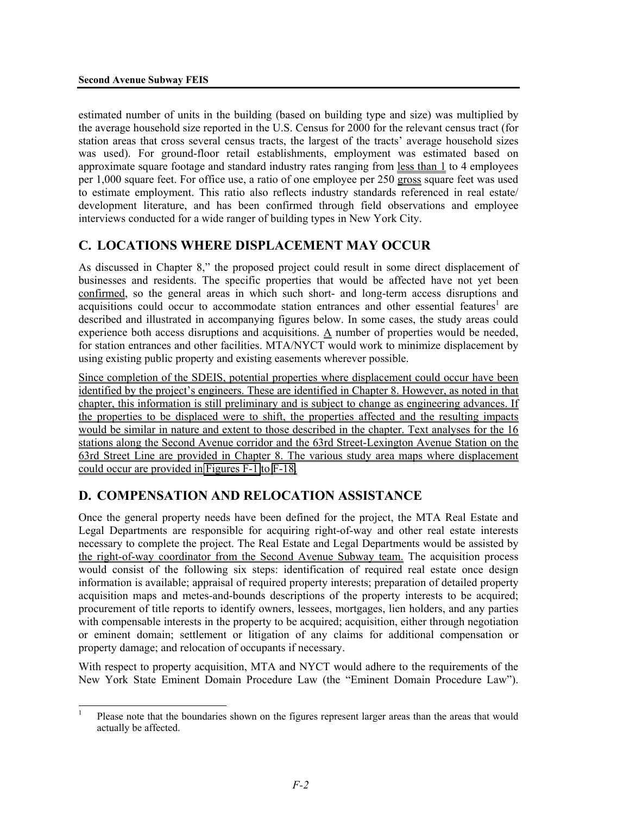estimated number of units in the building (based on building type and size) was multiplied by the average household size reported in the U.S. Census for 2000 for the relevant census tract (for station areas that cross several census tracts, the largest of the tracts' average household sizes was used). For ground-floor retail establishments, employment was estimated based on approximate square footage and standard industry rates ranging from less than 1 to 4 employees per 1,000 square feet. For office use, a ratio of one employee per 250 gross square feet was used to estimate employment. This ratio also reflects industry standards referenced in real estate/ development literature, and has been confirmed through field observations and employee interviews conducted for a wide ranger of building types in New York City.

# **C. LOCATIONS WHERE DISPLACEMENT MAY OCCUR**

As discussed in Chapter 8," the proposed project could result in some direct displacement of businesses and residents. The specific properties that would be affected have not yet been confirmed, so the general areas in which such short- and long-term access disruptions and acquisitions could occur to accommodate station entrances and other essential features<sup>1</sup> are described and illustrated in accompanying figures below. In some cases, the study areas could experience both access disruptions and acquisitions.  $\underline{A}$  number of properties would be needed, for station entrances and other facilities. MTA/NYCT would work to minimize displacement by using existing public property and existing easements wherever possible.

Since completion of the SDEIS, potential properties where displacement could occur have been identified by the project's engineers. These are identified in Chapter 8. However, as noted in that chapter, this information is still preliminary and is subject to change as engineering advances. If the properties to be displaced were to shift, the properties affected and the resulting impacts would be similar in nature and extent to those described in the chapter. Text analyses for the 16 stations along the Second Avenue corridor and the 63rd Street-Lexington Avenue Station on the 63rd Street Line are provided in Chapter 8. The various study area maps where displacement could occur are provided in Figures F-1 to F-18.

## **D. COMPENSATION AND RELOCATION ASSISTANCE**

Once the general property needs have been defined for the project, the MTA Real Estate and Legal Departments are responsible for acquiring right-of-way and other real estate interests necessary to complete the project. The Real Estate and Legal Departments would be assisted by the right-of-way coordinator from the Second Avenue Subway team. The acquisition process would consist of the following six steps: identification of required real estate once design information is available; appraisal of required property interests; preparation of detailed property acquisition maps and metes-and-bounds descriptions of the property interests to be acquired; procurement of title reports to identify owners, lessees, mortgages, lien holders, and any parties with compensable interests in the property to be acquired; acquisition, either through negotiation or eminent domain; settlement or litigation of any claims for additional compensation or property damage; and relocation of occupants if necessary.

With respect to property acquisition, MTA and NYCT would adhere to the requirements of the New York State Eminent Domain Procedure Law (the "Eminent Domain Procedure Law").

 1 Please note that the boundaries shown on the figures represent larger areas than the areas that would actually be affected.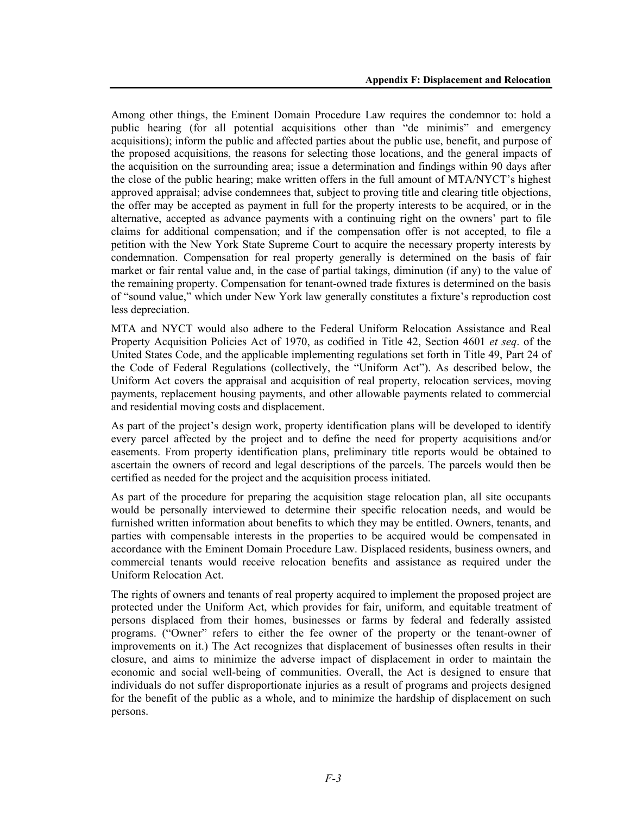Among other things, the Eminent Domain Procedure Law requires the condemnor to: hold a public hearing (for all potential acquisitions other than "de minimis" and emergency acquisitions); inform the public and affected parties about the public use, benefit, and purpose of the proposed acquisitions, the reasons for selecting those locations, and the general impacts of the acquisition on the surrounding area; issue a determination and findings within 90 days after the close of the public hearing; make written offers in the full amount of MTA/NYCT's highest approved appraisal; advise condemnees that, subject to proving title and clearing title objections, the offer may be accepted as payment in full for the property interests to be acquired, or in the alternative, accepted as advance payments with a continuing right on the owners' part to file claims for additional compensation; and if the compensation offer is not accepted, to file a petition with the New York State Supreme Court to acquire the necessary property interests by condemnation. Compensation for real property generally is determined on the basis of fair market or fair rental value and, in the case of partial takings, diminution (if any) to the value of the remaining property. Compensation for tenant-owned trade fixtures is determined on the basis of "sound value," which under New York law generally constitutes a fixture's reproduction cost less depreciation.

MTA and NYCT would also adhere to the Federal Uniform Relocation Assistance and Real Property Acquisition Policies Act of 1970, as codified in Title 42, Section 4601 *et seq*. of the United States Code, and the applicable implementing regulations set forth in Title 49, Part 24 of the Code of Federal Regulations (collectively, the "Uniform Act"). As described below, the Uniform Act covers the appraisal and acquisition of real property, relocation services, moving payments, replacement housing payments, and other allowable payments related to commercial and residential moving costs and displacement.

As part of the project's design work, property identification plans will be developed to identify every parcel affected by the project and to define the need for property acquisitions and/or easements. From property identification plans, preliminary title reports would be obtained to ascertain the owners of record and legal descriptions of the parcels. The parcels would then be certified as needed for the project and the acquisition process initiated.

As part of the procedure for preparing the acquisition stage relocation plan, all site occupants would be personally interviewed to determine their specific relocation needs, and would be furnished written information about benefits to which they may be entitled. Owners, tenants, and parties with compensable interests in the properties to be acquired would be compensated in accordance with the Eminent Domain Procedure Law. Displaced residents, business owners, and commercial tenants would receive relocation benefits and assistance as required under the Uniform Relocation Act.

The rights of owners and tenants of real property acquired to implement the proposed project are protected under the Uniform Act, which provides for fair, uniform, and equitable treatment of persons displaced from their homes, businesses or farms by federal and federally assisted programs. ("Owner" refers to either the fee owner of the property or the tenant-owner of improvements on it.) The Act recognizes that displacement of businesses often results in their closure, and aims to minimize the adverse impact of displacement in order to maintain the economic and social well-being of communities. Overall, the Act is designed to ensure that individuals do not suffer disproportionate injuries as a result of programs and projects designed for the benefit of the public as a whole, and to minimize the hardship of displacement on such persons.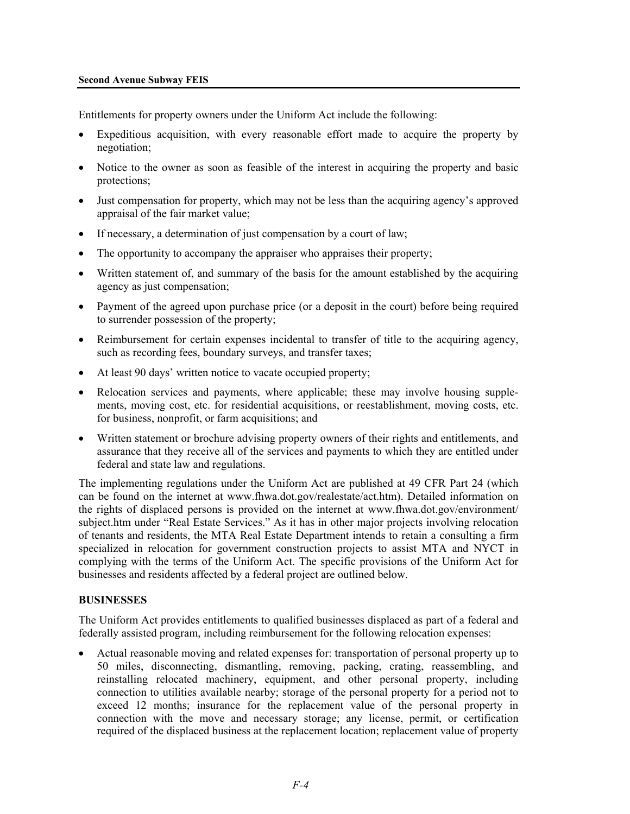### **Second Avenue Subway FEIS**

Entitlements for property owners under the Uniform Act include the following:

- Expeditious acquisition, with every reasonable effort made to acquire the property by negotiation;
- Notice to the owner as soon as feasible of the interest in acquiring the property and basic protections;
- Just compensation for property, which may not be less than the acquiring agency's approved appraisal of the fair market value;
- If necessary, a determination of just compensation by a court of law;
- The opportunity to accompany the appraiser who appraises their property;
- Written statement of, and summary of the basis for the amount established by the acquiring agency as just compensation;
- Payment of the agreed upon purchase price (or a deposit in the court) before being required to surrender possession of the property;
- Reimbursement for certain expenses incidental to transfer of title to the acquiring agency, such as recording fees, boundary surveys, and transfer taxes;
- At least 90 days' written notice to vacate occupied property;
- Relocation services and payments, where applicable; these may involve housing supplements, moving cost, etc. for residential acquisitions, or reestablishment, moving costs, etc. for business, nonprofit, or farm acquisitions; and
- Written statement or brochure advising property owners of their rights and entitlements, and assurance that they receive all of the services and payments to which they are entitled under federal and state law and regulations.

The implementing regulations under the Uniform Act are published at 49 CFR Part 24 (which can be found on the internet at www.fhwa.dot.gov/realestate/act.htm). Detailed information on the rights of displaced persons is provided on the internet at www.fhwa.dot.gov/environment/ subject.htm under "Real Estate Services." As it has in other major projects involving relocation of tenants and residents, the MTA Real Estate Department intends to retain a consulting a firm specialized in relocation for government construction projects to assist MTA and NYCT in complying with the terms of the Uniform Act. The specific provisions of the Uniform Act for businesses and residents affected by a federal project are outlined below.

## **BUSINESSES**

The Uniform Act provides entitlements to qualified businesses displaced as part of a federal and federally assisted program, including reimbursement for the following relocation expenses:

• Actual reasonable moving and related expenses for: transportation of personal property up to 50 miles, disconnecting, dismantling, removing, packing, crating, reassembling, and reinstalling relocated machinery, equipment, and other personal property, including connection to utilities available nearby; storage of the personal property for a period not to exceed 12 months; insurance for the replacement value of the personal property in connection with the move and necessary storage; any license, permit, or certification required of the displaced business at the replacement location; replacement value of property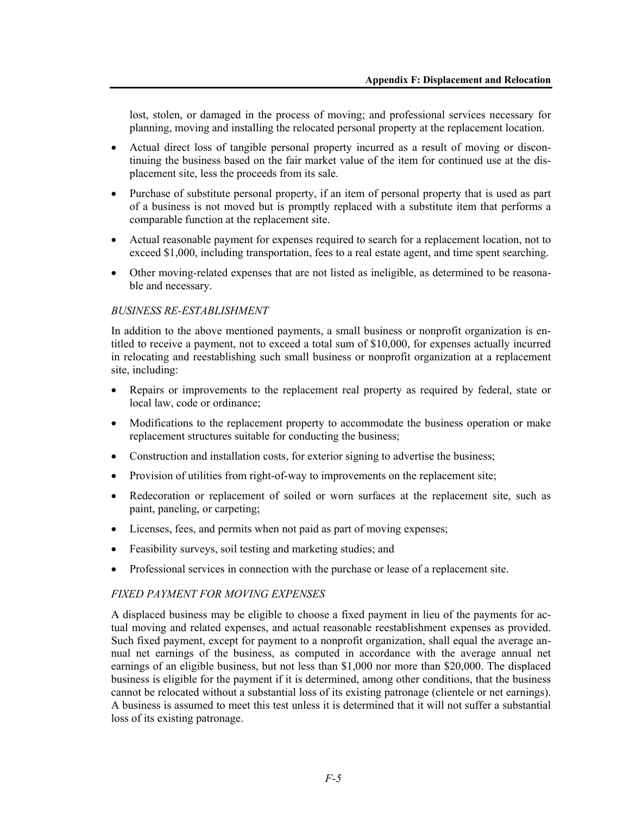lost, stolen, or damaged in the process of moving; and professional services necessary for planning, moving and installing the relocated personal property at the replacement location.

- Actual direct loss of tangible personal property incurred as a result of moving or discontinuing the business based on the fair market value of the item for continued use at the displacement site, less the proceeds from its sale.
- Purchase of substitute personal property, if an item of personal property that is used as part of a business is not moved but is promptly replaced with a substitute item that performs a comparable function at the replacement site.
- Actual reasonable payment for expenses required to search for a replacement location, not to exceed \$1,000, including transportation, fees to a real estate agent, and time spent searching.
- Other moving-related expenses that are not listed as ineligible, as determined to be reasonable and necessary.

## *BUSINESS RE-ESTABLISHMENT*

In addition to the above mentioned payments, a small business or nonprofit organization is entitled to receive a payment, not to exceed a total sum of \$10,000, for expenses actually incurred in relocating and reestablishing such small business or nonprofit organization at a replacement site, including:

- Repairs or improvements to the replacement real property as required by federal, state or local law, code or ordinance;
- Modifications to the replacement property to accommodate the business operation or make replacement structures suitable for conducting the business;
- Construction and installation costs, for exterior signing to advertise the business;
- Provision of utilities from right-of-way to improvements on the replacement site;
- Redecoration or replacement of soiled or worn surfaces at the replacement site, such as paint, paneling, or carpeting;
- Licenses, fees, and permits when not paid as part of moving expenses;
- Feasibility surveys, soil testing and marketing studies; and
- Professional services in connection with the purchase or lease of a replacement site.

### *FIXED PAYMENT FOR MOVING EXPENSES*

A displaced business may be eligible to choose a fixed payment in lieu of the payments for actual moving and related expenses, and actual reasonable reestablishment expenses as provided. Such fixed payment, except for payment to a nonprofit organization, shall equal the average annual net earnings of the business, as computed in accordance with the average annual net earnings of an eligible business, but not less than \$1,000 nor more than \$20,000. The displaced business is eligible for the payment if it is determined, among other conditions, that the business cannot be relocated without a substantial loss of its existing patronage (clientele or net earnings). A business is assumed to meet this test unless it is determined that it will not suffer a substantial loss of its existing patronage.